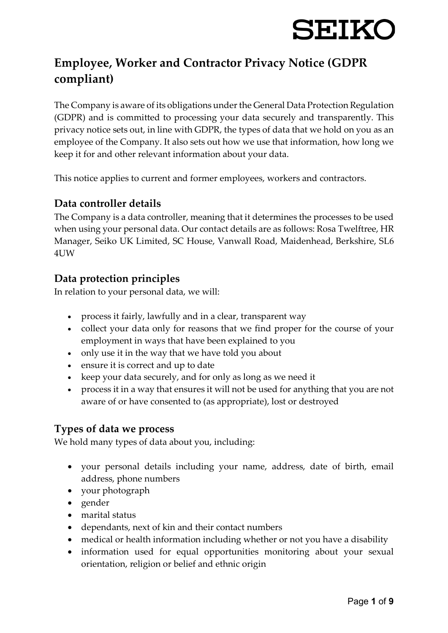## **Employee, Worker and Contractor Privacy Notice (GDPR compliant)**

The Company is aware of its obligations under the General Data Protection Regulation (GDPR) and is committed to processing your data securely and transparently. This privacy notice sets out, in line with GDPR, the types of data that we hold on you as an employee of the Company. It also sets out how we use that information, how long we keep it for and other relevant information about your data.

This notice applies to current and former employees, workers and contractors.

### **Data controller details**

The Company is a data controller, meaning that it determines the processes to be used when using your personal data. Our contact details are as follows: Rosa Twelftree, HR Manager, Seiko UK Limited, SC House, Vanwall Road, Maidenhead, Berkshire, SL6 4UW

### **Data protection principles**

In relation to your personal data, we will:

- process it fairly, lawfully and in a clear, transparent way
- collect your data only for reasons that we find proper for the course of your employment in ways that have been explained to you
- only use it in the way that we have told you about
- ensure it is correct and up to date
- keep your data securely, and for only as long as we need it
- process it in a way that ensures it will not be used for anything that you are not aware of or have consented to (as appropriate), lost or destroyed

#### **Types of data we process**

We hold many types of data about you, including:

- your personal details including your name, address, date of birth, email address, phone numbers
- your photograph
- gender
- marital status
- dependants, next of kin and their contact numbers
- medical or health information including whether or not you have a disability
- information used for equal opportunities monitoring about your sexual orientation, religion or belief and ethnic origin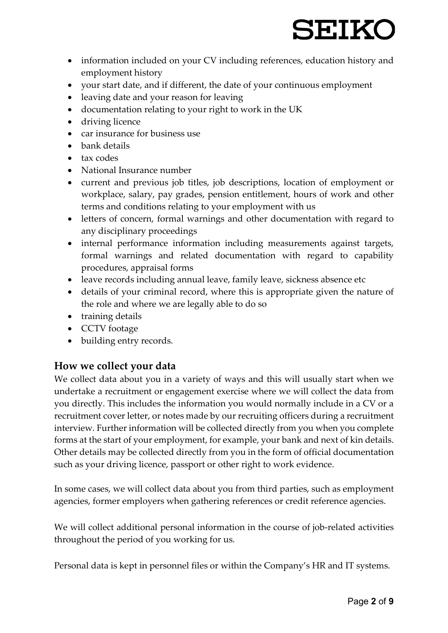- information included on your CV including references, education history and employment history
- your start date, and if different, the date of your continuous employment
- leaving date and your reason for leaving
- documentation relating to your right to work in the UK
- driving licence
- car insurance for business use
- bank details
- tax codes
- National Insurance number
- current and previous job titles, job descriptions, location of employment or workplace, salary, pay grades, pension entitlement, hours of work and other terms and conditions relating to your employment with us
- letters of concern, formal warnings and other documentation with regard to any disciplinary proceedings
- internal performance information including measurements against targets, formal warnings and related documentation with regard to capability procedures, appraisal forms
- leave records including annual leave, family leave, sickness absence etc
- details of your criminal record, where this is appropriate given the nature of the role and where we are legally able to do so
- training details
- CCTV footage
- building entry records.

### **How we collect your data**

We collect data about you in a variety of ways and this will usually start when we undertake a recruitment or engagement exercise where we will collect the data from you directly. This includes the information you would normally include in a CV or a recruitment cover letter, or notes made by our recruiting officers during a recruitment interview. Further information will be collected directly from you when you complete forms at the start of your employment, for example, your bank and next of kin details. Other details may be collected directly from you in the form of official documentation such as your driving licence, passport or other right to work evidence.

In some cases, we will collect data about you from third parties, such as employment agencies, former employers when gathering references or credit reference agencies.

We will collect additional personal information in the course of job-related activities throughout the period of you working for us.

Personal data is kept in personnel files or within the Company's HR and IT systems.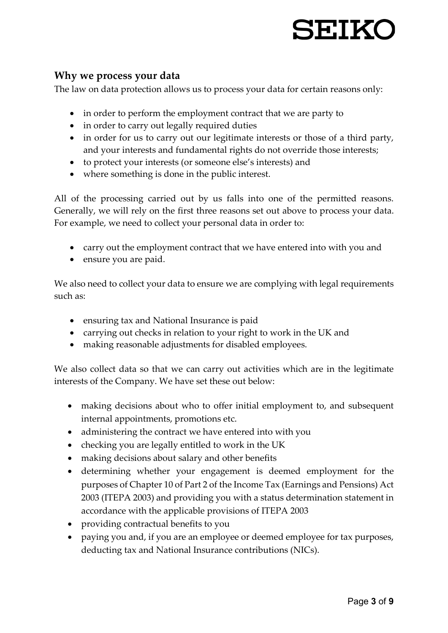# SEIKO

#### **Why we process your data**

The law on data protection allows us to process your data for certain reasons only:

- in order to perform the employment contract that we are party to
- in order to carry out legally required duties
- in order for us to carry out our legitimate interests or those of a third party, and your interests and fundamental rights do not override those interests;
- to protect your interests (or someone else's interests) and
- where something is done in the public interest.

All of the processing carried out by us falls into one of the permitted reasons. Generally, we will rely on the first three reasons set out above to process your data. For example, we need to collect your personal data in order to:

- carry out the employment contract that we have entered into with you and
- ensure you are paid.

We also need to collect your data to ensure we are complying with legal requirements such as:

- ensuring tax and National Insurance is paid
- carrying out checks in relation to your right to work in the UK and
- making reasonable adjustments for disabled employees.

We also collect data so that we can carry out activities which are in the legitimate interests of the Company. We have set these out below:

- making decisions about who to offer initial employment to, and subsequent internal appointments, promotions etc.
- administering the contract we have entered into with you
- checking you are legally entitled to work in the UK
- making decisions about salary and other benefits
- determining whether your engagement is deemed employment for the purposes of Chapter 10 of Part 2 of the Income Tax (Earnings and Pensions) Act 2003 (ITEPA 2003) and providing you with a status determination statement in accordance with the applicable provisions of ITEPA 2003
- providing contractual benefits to you
- paying you and, if you are an employee or deemed employee for tax purposes, deducting tax and National Insurance contributions (NICs).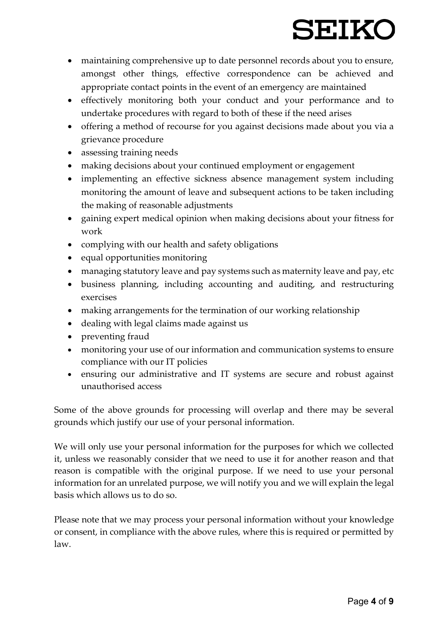# SEIKO

- maintaining comprehensive up to date personnel records about you to ensure, amongst other things, effective correspondence can be achieved and appropriate contact points in the event of an emergency are maintained
- effectively monitoring both your conduct and your performance and to undertake procedures with regard to both of these if the need arises
- offering a method of recourse for you against decisions made about you via a grievance procedure
- assessing training needs
- making decisions about your continued employment or engagement
- implementing an effective sickness absence management system including monitoring the amount of leave and subsequent actions to be taken including the making of reasonable adjustments
- gaining expert medical opinion when making decisions about your fitness for work
- complying with our health and safety obligations
- equal opportunities monitoring
- managing statutory leave and pay systems such as maternity leave and pay, etc
- business planning, including accounting and auditing, and restructuring exercises
- making arrangements for the termination of our working relationship
- dealing with legal claims made against us
- preventing fraud
- monitoring your use of our information and communication systems to ensure compliance with our IT policies
- ensuring our administrative and IT systems are secure and robust against unauthorised access

Some of the above grounds for processing will overlap and there may be several grounds which justify our use of your personal information.

We will only use your personal information for the purposes for which we collected it, unless we reasonably consider that we need to use it for another reason and that reason is compatible with the original purpose. If we need to use your personal information for an unrelated purpose, we will notify you and we will explain the legal basis which allows us to do so.

Please note that we may process your personal information without your knowledge or consent, in compliance with the above rules, where this is required or permitted by law.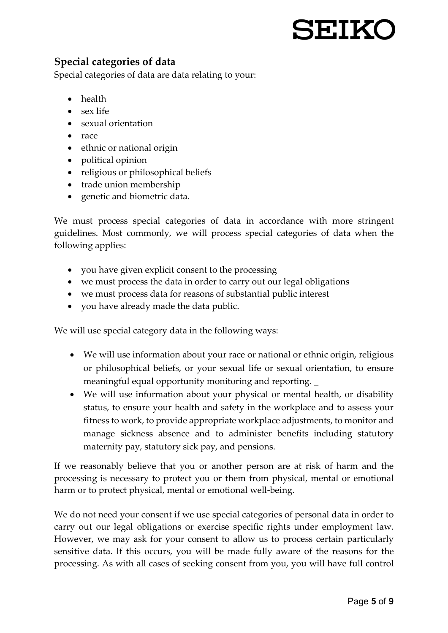## SEIKO

## **Special categories of data**

Special categories of data are data relating to your:

- health
- sex life
- sexual orientation
- race
- ethnic or national origin
- political opinion
- religious or philosophical beliefs
- trade union membership
- genetic and biometric data.

We must process special categories of data in accordance with more stringent guidelines. Most commonly, we will process special categories of data when the following applies:

- you have given explicit consent to the processing
- we must process the data in order to carry out our legal obligations
- we must process data for reasons of substantial public interest
- you have already made the data public.

We will use special category data in the following ways:

- We will use information about your race or national or ethnic origin, religious or philosophical beliefs, or your sexual life or sexual orientation, to ensure meaningful equal opportunity monitoring and reporting. \_
- We will use information about your physical or mental health, or disability status, to ensure your health and safety in the workplace and to assess your fitness to work, to provide appropriate workplace adjustments, to monitor and manage sickness absence and to administer benefits including statutory maternity pay, statutory sick pay, and pensions.

If we reasonably believe that you or another person are at risk of harm and the processing is necessary to protect you or them from physical, mental or emotional harm or to protect physical, mental or emotional well-being.

We do not need your consent if we use special categories of personal data in order to carry out our legal obligations or exercise specific rights under employment law. However, we may ask for your consent to allow us to process certain particularly sensitive data. If this occurs, you will be made fully aware of the reasons for the processing. As with all cases of seeking consent from you, you will have full control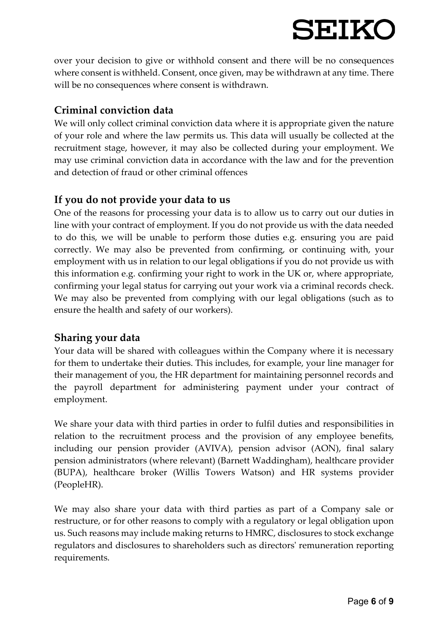over your decision to give or withhold consent and there will be no consequences where consent is withheld. Consent, once given, may be withdrawn at any time. There will be no consequences where consent is withdrawn.

## **Criminal conviction data**

We will only collect criminal conviction data where it is appropriate given the nature of your role and where the law permits us. This data will usually be collected at the recruitment stage, however, it may also be collected during your employment. We may use criminal conviction data in accordance with the law and for the prevention and detection of fraud or other criminal offences

## **If you do not provide your data to us**

One of the reasons for processing your data is to allow us to carry out our duties in line with your contract of employment. If you do not provide us with the data needed to do this, we will be unable to perform those duties e.g. ensuring you are paid correctly. We may also be prevented from confirming, or continuing with, your employment with us in relation to our legal obligations if you do not provide us with this information e.g. confirming your right to work in the UK or, where appropriate, confirming your legal status for carrying out your work via a criminal records check. We may also be prevented from complying with our legal obligations (such as to ensure the health and safety of our workers).

### **Sharing your data**

Your data will be shared with colleagues within the Company where it is necessary for them to undertake their duties. This includes, for example, your line manager for their management of you, the HR department for maintaining personnel records and the payroll department for administering payment under your contract of employment.

We share your data with third parties in order to fulfil duties and responsibilities in relation to the recruitment process and the provision of any employee benefits, including our pension provider (AVIVA), pension advisor (AON), final salary pension administrators (where relevant) (Barnett Waddingham), healthcare provider (BUPA), healthcare broker (Willis Towers Watson) and HR systems provider (PeopleHR).

We may also share your data with third parties as part of a Company sale or restructure, or for other reasons to comply with a regulatory or legal obligation upon us. Such reasons may include making returns to HMRC, disclosures to stock exchange regulators and disclosures to shareholders such as directors' remuneration reporting requirements.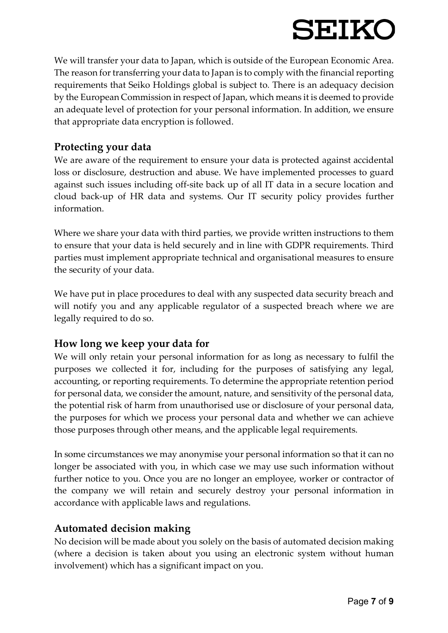We will transfer your data to Japan, which is outside of the European Economic Area. The reason for transferring your data to Japan is to comply with the financial reporting requirements that Seiko Holdings global is subject to*.* There is an adequacy decision by the European Commission in respect of Japan, which means it is deemed to provide an adequate level of protection for your personal information. In addition, we ensure that appropriate data encryption is followed.

#### **Protecting your data**

We are aware of the requirement to ensure your data is protected against accidental loss or disclosure, destruction and abuse. We have implemented processes to guard against such issues including off-site back up of all IT data in a secure location and cloud back-up of HR data and systems. Our IT security policy provides further information.

Where we share your data with third parties, we provide written instructions to them to ensure that your data is held securely and in line with GDPR requirements. Third parties must implement appropriate technical and organisational measures to ensure the security of your data.

We have put in place procedures to deal with any suspected data security breach and will notify you and any applicable regulator of a suspected breach where we are legally required to do so.

### **How long we keep your data for**

We will only retain your personal information for as long as necessary to fulfil the purposes we collected it for, including for the purposes of satisfying any legal, accounting, or reporting requirements. To determine the appropriate retention period for personal data, we consider the amount, nature, and sensitivity of the personal data, the potential risk of harm from unauthorised use or disclosure of your personal data, the purposes for which we process your personal data and whether we can achieve those purposes through other means, and the applicable legal requirements.

In some circumstances we may anonymise your personal information so that it can no longer be associated with you, in which case we may use such information without further notice to you. Once you are no longer an employee, worker or contractor of the company we will retain and securely destroy your personal information in accordance with applicable laws and regulations.

### **Automated decision making**

No decision will be made about you solely on the basis of automated decision making (where a decision is taken about you using an electronic system without human involvement) which has a significant impact on you.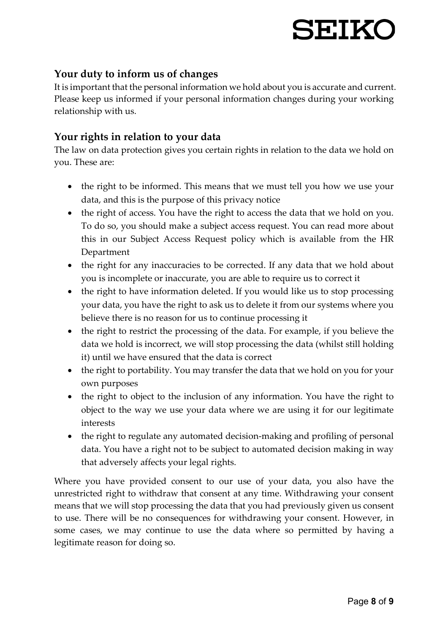### **Your duty to inform us of changes**

It is important that the personal information we hold about you is accurate and current. Please keep us informed if your personal information changes during your working relationship with us.

#### **Your rights in relation to your data**

The law on data protection gives you certain rights in relation to the data we hold on you. These are:

- the right to be informed. This means that we must tell you how we use your data, and this is the purpose of this privacy notice
- the right of access. You have the right to access the data that we hold on you. To do so, you should make a subject access request. You can read more about this in our Subject Access Request policy which is available from the HR Department
- the right for any inaccuracies to be corrected. If any data that we hold about you is incomplete or inaccurate, you are able to require us to correct it
- the right to have information deleted. If you would like us to stop processing your data, you have the right to ask us to delete it from our systems where you believe there is no reason for us to continue processing it
- the right to restrict the processing of the data. For example, if you believe the data we hold is incorrect, we will stop processing the data (whilst still holding it) until we have ensured that the data is correct
- the right to portability. You may transfer the data that we hold on you for your own purposes
- the right to object to the inclusion of any information. You have the right to object to the way we use your data where we are using it for our legitimate interests
- the right to regulate any automated decision-making and profiling of personal data. You have a right not to be subject to automated decision making in way that adversely affects your legal rights.

Where you have provided consent to our use of your data, you also have the unrestricted right to withdraw that consent at any time. Withdrawing your consent means that we will stop processing the data that you had previously given us consent to use. There will be no consequences for withdrawing your consent. However, in some cases, we may continue to use the data where so permitted by having a legitimate reason for doing so.